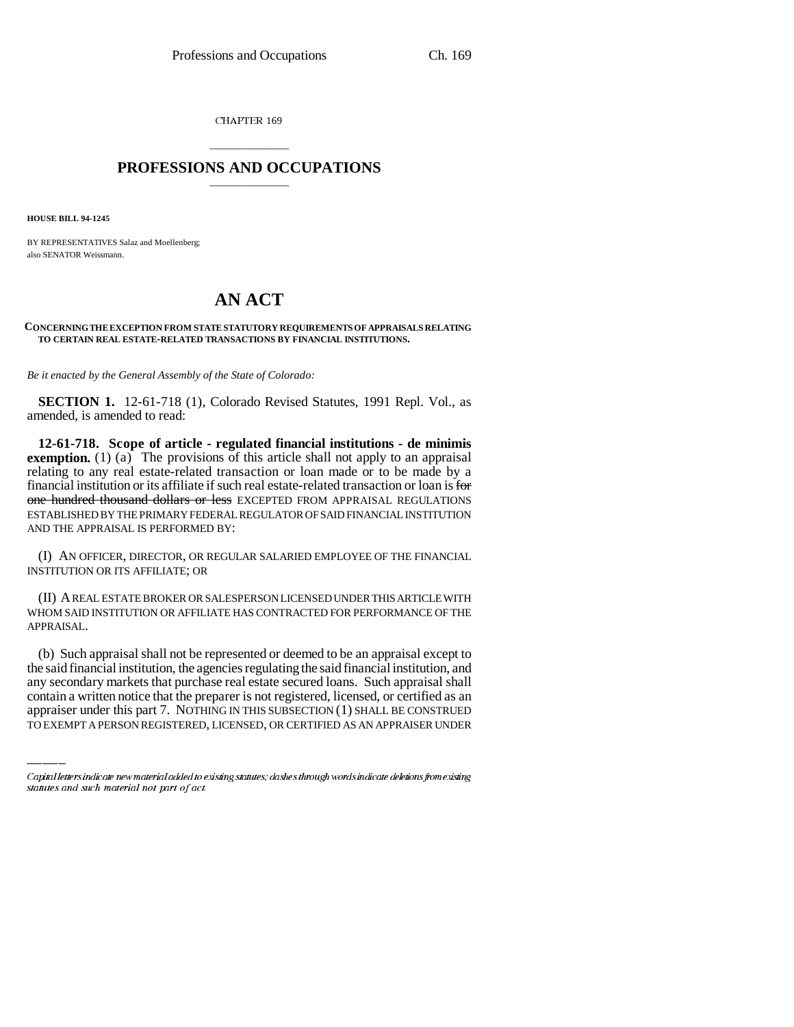CHAPTER 169

## \_\_\_\_\_\_\_\_\_\_\_\_\_\_\_ **PROFESSIONS AND OCCUPATIONS** \_\_\_\_\_\_\_\_\_\_\_\_\_\_\_

**HOUSE BILL 94-1245**

BY REPRESENTATIVES Salaz and Moellenberg; also SENATOR Weissmann.

## **AN ACT**

## **CONCERNING THE EXCEPTION FROM STATE STATUTORY REQUIREMENTS OF APPRAISALS RELATING TO CERTAIN REAL ESTATE-RELATED TRANSACTIONS BY FINANCIAL INSTITUTIONS.**

*Be it enacted by the General Assembly of the State of Colorado:*

**SECTION 1.** 12-61-718 (1), Colorado Revised Statutes, 1991 Repl. Vol., as amended, is amended to read:

**12-61-718. Scope of article - regulated financial institutions - de minimis exemption.** (1) (a) The provisions of this article shall not apply to an appraisal relating to any real estate-related transaction or loan made or to be made by a financial institution or its affiliate if such real estate-related transaction or loan is for one hundred thousand dollars or less EXCEPTED FROM APPRAISAL REGULATIONS ESTABLISHED BY THE PRIMARY FEDERAL REGULATOR OF SAID FINANCIAL INSTITUTION AND THE APPRAISAL IS PERFORMED BY:

(I) AN OFFICER, DIRECTOR, OR REGULAR SALARIED EMPLOYEE OF THE FINANCIAL INSTITUTION OR ITS AFFILIATE; OR

(II) A REAL ESTATE BROKER OR SALESPERSON LICENSED UNDER THIS ARTICLE WITH WHOM SAID INSTITUTION OR AFFILIATE HAS CONTRACTED FOR PERFORMANCE OF THE APPRAISAL.

the said financial institution, the agencies regulating the said financial institution, and (b) Such appraisal shall not be represented or deemed to be an appraisal except to any secondary markets that purchase real estate secured loans. Such appraisal shall contain a written notice that the preparer is not registered, licensed, or certified as an appraiser under this part 7. NOTHING IN THIS SUBSECTION (1) SHALL BE CONSTRUED TO EXEMPT A PERSON REGISTERED, LICENSED, OR CERTIFIED AS AN APPRAISER UNDER

Capital letters indicate new material added to existing statutes; dashes through words indicate deletions from existing statutes and such material not part of act.